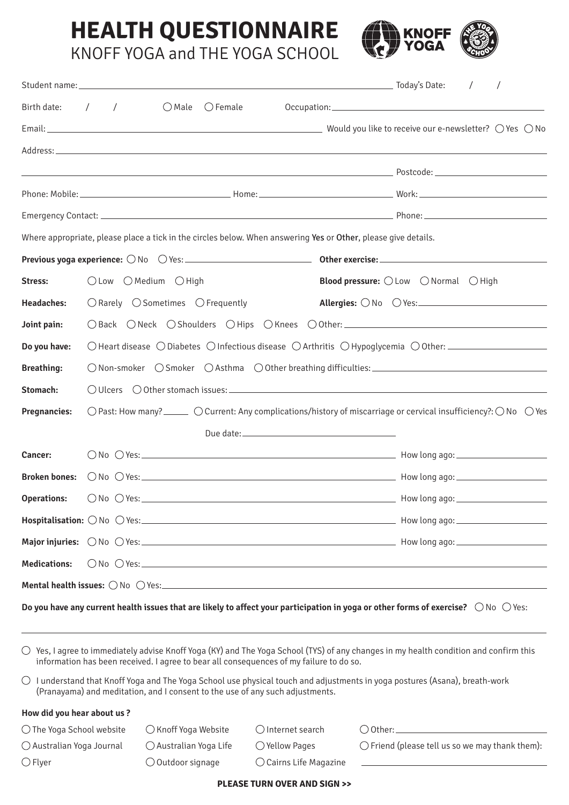## **HEALTH QUESTIONNAIRE** KNOFF YOGA and THE YOGA SCHOOL



| Birth date:          | $\sqrt{2}$<br>$\sqrt{2}$                                                                                                                                |                       |  | $\bigcirc$ Male $\bigcirc$ Female                                                                                      |  |                                                                         |  |  |  |  |  |  |  |
|----------------------|---------------------------------------------------------------------------------------------------------------------------------------------------------|-----------------------|--|------------------------------------------------------------------------------------------------------------------------|--|-------------------------------------------------------------------------|--|--|--|--|--|--|--|
|                      |                                                                                                                                                         |                       |  |                                                                                                                        |  |                                                                         |  |  |  |  |  |  |  |
|                      |                                                                                                                                                         |                       |  |                                                                                                                        |  |                                                                         |  |  |  |  |  |  |  |
|                      |                                                                                                                                                         |                       |  | <u>да в представительности в продолжении с продолжение в принцип в принцип в разготовки в разготовки и принцип в п</u> |  |                                                                         |  |  |  |  |  |  |  |
|                      |                                                                                                                                                         |                       |  |                                                                                                                        |  |                                                                         |  |  |  |  |  |  |  |
|                      |                                                                                                                                                         |                       |  |                                                                                                                        |  |                                                                         |  |  |  |  |  |  |  |
|                      |                                                                                                                                                         |                       |  | Where appropriate, please place a tick in the circles below. When answering Yes or Other, please give details.         |  |                                                                         |  |  |  |  |  |  |  |
|                      |                                                                                                                                                         |                       |  |                                                                                                                        |  |                                                                         |  |  |  |  |  |  |  |
| Stress:              |                                                                                                                                                         | ○ Low ○ Medium ○ High |  |                                                                                                                        |  | <b>Blood pressure:</b> $\bigcirc$ Low $\bigcirc$ Normal $\bigcirc$ High |  |  |  |  |  |  |  |
| <b>Headaches:</b>    | $\bigcirc$ Rarely $\bigcirc$ Sometimes $\bigcirc$ Frequently<br>Allergies: $\bigcirc$ No $\bigcirc$ Yes:                                                |                       |  |                                                                                                                        |  |                                                                         |  |  |  |  |  |  |  |
| Joint pain:          | ○ Back ○ Neck ○ Shoulders ○ Hips ○ Knees ○ Other: ______________________________                                                                        |                       |  |                                                                                                                        |  |                                                                         |  |  |  |  |  |  |  |
| Do you have:         | $\bigcirc$ Heart disease $\bigcirc$ Diabetes $\bigcirc$ Infectious disease $\bigcirc$ Arthritis $\bigcirc$ Hypoglycemia $\bigcirc$ Other:               |                       |  |                                                                                                                        |  |                                                                         |  |  |  |  |  |  |  |
| <b>Breathing:</b>    | $\bigcirc$ Non-smoker $\bigcirc$ Smoker $\bigcirc$ Asthma $\bigcirc$ Other breathing difficulties:                                                      |                       |  |                                                                                                                        |  |                                                                         |  |  |  |  |  |  |  |
| Stomach:             |                                                                                                                                                         |                       |  |                                                                                                                        |  |                                                                         |  |  |  |  |  |  |  |
| <b>Pregnancies:</b>  | $\bigcirc$ Past: How many? ______ $\bigcirc$ Current: Any complications/history of miscarriage or cervical insufficiency?: $\bigcirc$ No $\bigcirc$ Yes |                       |  |                                                                                                                        |  |                                                                         |  |  |  |  |  |  |  |
|                      |                                                                                                                                                         |                       |  |                                                                                                                        |  |                                                                         |  |  |  |  |  |  |  |
| Cancer:              |                                                                                                                                                         |                       |  |                                                                                                                        |  |                                                                         |  |  |  |  |  |  |  |
| <b>Broken bones:</b> |                                                                                                                                                         |                       |  |                                                                                                                        |  |                                                                         |  |  |  |  |  |  |  |
| <b>Operations:</b>   | $\bigcirc$ No $\bigcirc$ Yes:                                                                                                                           |                       |  | <u> 2000 - 2000 - 2000 - 2000 - 2000 - 2000 - 2000 - 2000 - 2000 - 2000 - 2000 - 2000 - 2000 - 2000 - 2000 - 200</u>   |  |                                                                         |  |  |  |  |  |  |  |
|                      |                                                                                                                                                         |                       |  |                                                                                                                        |  |                                                                         |  |  |  |  |  |  |  |
|                      |                                                                                                                                                         |                       |  |                                                                                                                        |  |                                                                         |  |  |  |  |  |  |  |
| <b>Medications:</b>  |                                                                                                                                                         |                       |  |                                                                                                                        |  |                                                                         |  |  |  |  |  |  |  |
|                      |                                                                                                                                                         |                       |  |                                                                                                                        |  |                                                                         |  |  |  |  |  |  |  |
|                      |                                                                                                                                                         |                       |  |                                                                                                                        |  |                                                                         |  |  |  |  |  |  |  |

 $\bigcirc$  Yes, I agree to immediately advise Knoff Yoga (KY) and The Yoga School (TYS) of any changes in my health condition and confirm this information has been received. I agree to bear all consequences of my failure to do so.

 $\bigcirc$  I understand that Knoff Yoga and The Yoga School use physical touch and adjustments in yoga postures (Asana), breath-work (Pranayama) and meditation, and I consent to the use of any such adjustments.

## **How did you hear about us ?**

 $\bigcirc$  The Yoga School website  $\bigcirc$  Knoff Yoga Website  $\bigcirc$  Internet search  $\bigcirc$  Other:

 $\bigcirc$  Flyer  $\bigcirc$  Outdoor signage  $\bigcirc$  Cairns Life Magazine

 $\bigcirc$  Australian Yoga Journal  $\bigcirc$  Australian Yoga Life  $\bigcirc$  Yellow Pages  $\bigcirc$  Friend (please tell us so we may thank them):

## **PLEASE TURN OVER AND SIGN >>**